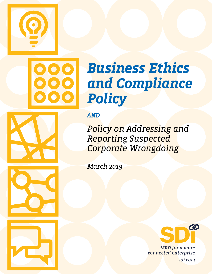



# *Business Ethics and Compliance Policy*

*AND*

*Policy on Addressing and Reporting Suspected Corporate Wrongdoing*

*March 2019*



*MRO for a more connected enterprise sdi.com*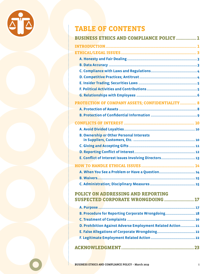

### **TABLE OF CONTENTS**

| <b>BUSINESS ETHICS AND COMPLIANCE POLICY  1</b>                          |
|--------------------------------------------------------------------------|
|                                                                          |
|                                                                          |
|                                                                          |
|                                                                          |
|                                                                          |
|                                                                          |
|                                                                          |
|                                                                          |
|                                                                          |
| PROTECTION OF COMPANY ASSETS; CONFIDENTIALITY 8                          |
|                                                                          |
|                                                                          |
|                                                                          |
|                                                                          |
| <b>B. Ownership or Other Personal Interests</b>                          |
|                                                                          |
|                                                                          |
| E. Conflict of Interest Issues Involving Directors 13                    |
|                                                                          |
|                                                                          |
|                                                                          |
|                                                                          |
| POLICY ON ADDRESSING AND REPORTING<br>SUSPECTED CORPORATE WRONGDOING  17 |
|                                                                          |
| B. Procedure for Reporting Corporate Wrongdoing 18                       |
|                                                                          |
| D. Prohibition Against Adverse Employment Related Action 21              |
|                                                                          |
|                                                                          |

|--|--|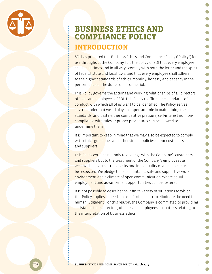<span id="page-2-0"></span>

### **BUSINESS ETHICS AND COMPLIANCE POLICY INTRODUCTION**

SDI has prepared this Business Ethics and Compliance Policy ("Policy") for use throughout the Company. It is the policy of SDI that every employee shall at all times and in all ways comply with both the letter and the spirit of federal, state and local laws, and that every employee shall adhere to the highest standards of ethics, morality, honesty and decency in the performance of the duties of his or her job.

This Policy governs the actions and working relationships of all directors, officers and employees of SDI. This Policy reaffirms the standards of conduct with which all of us want to be identified. The Policy serves as a reminder that we all play an important role in maintaining these standards, and that neither competitive pressure, self-interest nor noncompliance with rules or proper procedures can be allowed to undermine them.

It is important to keep in mind that we may also be expected to comply with ethics guidelines and other similar policies of our customers and suppliers.

This Policy extends not only to dealings with the Company's customers and suppliers but to the treatment of the Company's employees as well. We believe that the dignity and individuality of all people must be respected. We pledge to help maintain a safe and supportive work environment and a climate of open communication, where equal employment and advancement opportunities can be fostered.

It is not possible to describe the infinite variety of situations to which this Policy applies. Indeed, no set of principles can eliminate the need for human judgment. For this reason, the Company is committed to providing assistance to its directors, officers and employees on matters relating to the interpretation of business ethics.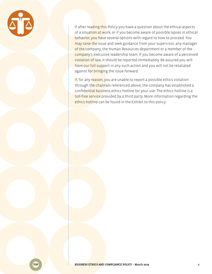

If after reading this Policy you have a question about the ethical aspects of a situation at work, or if you become aware of possible lapses in ethical behavior, you have several options with regard to how to proceed. You may raise the issue and seek guidance from your supervisor, any manager of the company, the Human Resources department or a member of the company's executive leadership team. If you become aware of a perceived violation of law, it should be reported immediately. Be assured you will have our full support in any such action and you will not be retaliated against for bringing the issue forward.

If, for any reason, you are unable to report a possible ethics violation through the channels referenced above, the company has established a confidential business ethics hotline for your use. The ethics hotline is a toll-free service provided by a third party. More information regarding the ethics hotline can be found in the Exhibit to this policy.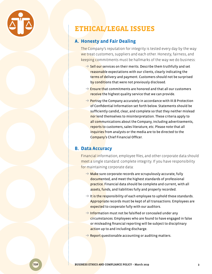<span id="page-4-0"></span>

### **ETHICAL/LEGAL ISSUES**

#### **A. Honesty and Fair Dealing**

The Company's reputation for integrity is tested every day by the way we treat customers, suppliers and each other. Honesty, fairness, and keeping commitments must be hallmarks of the way we do business:

- $\rightarrow$  Sell our services on their merits. Describe them truthfully and set reasonable expectations with our clients, clearly indicating the terms of delivery and payment. Customers should not be surprised by conditions that were not previously disclosed.
- $\rightarrow$  Ensure that commitments are honored and that all our customers receive the highest quality service that we can provide.
- $\rightarrow$  Portray the Company accurately in accordance with III.B Protection of Confidential Information set forth below. Statements should be sufficiently candid, clear, and complete so that they neither mislead nor lend themselves to misinterpretation. These criteria apply to all communications about the Company, including advertisements, reports to customers, sales literature, etc. Please note that all inquiries from analysts or the media are to be directed to the Company's Chief Financial Officer.

#### **B. Data Accuracy**

Financial information, employee files, and other corporate data should meet a single standard: complete integrity. If you have responsibility for maintaining corporate data:

- $\rightarrow$  Make sure corporate records are scrupulously accurate, fully documented, and meet the highest standards of professional practice. Financial data should be complete and current, with all assets, funds, and liabilities fully and properly recorded.
- $\rightarrow$  It is the responsibility of each employee to uphold these standards. Appropriate records must be kept of all transactions. Employees are expected to cooperate fully with our auditors.
- $\rightarrow$  Information must not be falsified or concealed under any circumstances. Employees who are found to have engaged in false or misleading financial reporting will be subject to disciplinary action up to and including discharge.
- $\rightarrow$  Report questionable accounting or auditing matters.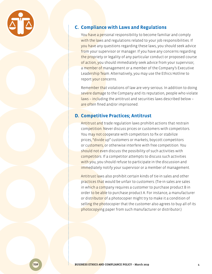<span id="page-5-0"></span>

#### **C. Compliance with Laws and Regulations**

You have a personal responsibility to become familiar and comply with the laws and regulations related to your job responsibilities. If you have any questions regarding these laws, you should seek advice from your supervisor or manager. If you have any concerns regarding the propriety or legality of any particular conduct or proposed course of action, you should immediately seek advice from your supervisor, a member of management or a member of the Company's Executive Leadership Team. Alternatively, you may use the Ethics Hotline to report your concerns.

Remember that violations of law are very serious. In addition to doing severe damage to the Company and its reputation, people who violate laws – including the antitrust and securities laws described below – are often fined and/or imprisoned.

#### **D. Competitive Practices; Antitrust**

Antitrust and trade regulation laws prohibit actions that restrain competition. Never discuss prices or customers with competitors. You may not cooperate with competitors to fix or stabilize prices, "divide up" customers or markets, boycott competitors or customers, or otherwise interfere with free competition. You should not even discuss the possibility of such activities with competitors. If a competitor attempts to discuss such activities with you, you should refuse to participate in the discussion and immediately notify your supervisor or a member of management.

Antitrust laws also prohibit certain kinds of tie-in sales and other practices that would be unfair to customers. (Tie-in sales are sales in which a company requires a customer to purchase product B in order to be able to purchase product A. For instance, a manufacturer or distributor of a photocopier might try to make it a condition of selling the photocopier that the customer also agrees to buy all of its photocopying paper from such manufacturer or distributor.)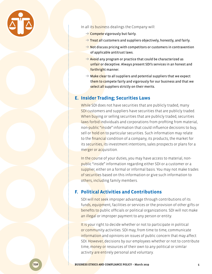<span id="page-6-0"></span>

In all its business dealings the Company will:

- $\rightarrow$  Compete vigorously but fairly.
- $\rightarrow$  Treat all customers and suppliers objectively, honestly, and fairly.
- $\rightarrow$  Not discuss pricing with competitors or customers in contravention of applicable antitrust laws.
- $\rightarrow$  Avoid any program or practice that could be characterized as unfair or deceptive. Always present SDI's services in an honest and forthright manner.
- $\rightarrow$  Make clear to all suppliers and potential suppliers that we expect them to compete fairly and vigorously for our business and that we select all suppliers strictly on their merits.

#### **E. Insider Trading; Securities Laws**

While SDI does not have securities that are publicly traded, many SDI customers and suppliers have securities that are publicly traded. When buying or selling securities that are publicly traded, securities laws forbid individuals and corporations from profiting from material, non-public "inside" information that could influence decisions to buy, sell or hold on to particular securities. Such information may relate to the financial condition of a company, its products, the market for its securities, its investment intentions, sales prospects or plans for a merger or acquisition.

In the course of your duties, you may have access to material, nonpublic "inside" information regarding either SDI or a customer or a supplier, either on a formal or informal basis. You may not make trades of securities based on this information or give such information to others, including family members.

#### **F. Political Activities and Contributions**

SDI will not seek improper advantage through contributions of its funds, equipment, facilities or services or the provision of other gifts or benefits to public officials or political organizations. SDI will not make an illegal or improper payment to any person or entity.

It is your right to decide whether or not to participate in political or community activities. SDI may, from time to time, communicate information and opinions on issues of public concern that may affect SDI. However, decisions by our employees whether or not to contribute time, money or resources of their own to any political or similar activity are entirely personal and voluntary.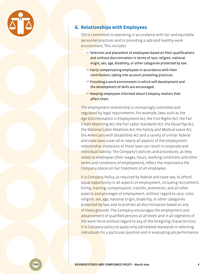<span id="page-7-0"></span>

#### **G. Relationships with Employees**

SDI is committed to operating in accordance with fair and equitable personnel practices and to providing a safe and healthy work environment. This includes:

- $\rightarrow$  Selection and placement of employees based on their qualifications and without discrimination in terms of race, religion, national origin, sex, age, disability, or other categories protected by law.
- $\rightarrow$  Fairly compensating employees in accordance with their contribution, taking into account prevailing practices.
- → P<mark>roviding</mark> a work environment in which self-development and the development of skills are encouraged.
- $\rightarrow$  Keeping employees informed about Company matters that affect them.

The employment relationship is increasingly controlled and regulated by legal requirements. For example, laws such as the *Age Discrimination in Employment Act*, the *Civil Rights Act*, the Fa*ir Credit Reporting Act*, the *Fair Labor Standards Act*, the *Equal Pay Act*, the *National Labor Relations Act*, the *Family and Medical Leave Act*, the *Americans with Disabilities Act* and a variety of similar federal and state laws cover all or nearly all aspects of the employment relationship. Violations of these laws can result in corporate and individual liability. The Company's policies and procedures, as they relate to employees (their wages, hours, working conditions and other terms and conditions of employment), reflect the importance the Company places on fair treatment of all employees.

It is Company Policy, as required by federal and state law, to afford equal opportunity in all aspects of employment, including recruitment, hiring, training, compensation, transfer, promotion, and all other aspects and privileges of employment, without regard to race, color, religion, sex, age, national origin, disability, or other categories protected by law, and to prohibit all discrimination based on any of these grounds. The Company encourages the employment and advancement of qualified persons at all levels and in all segments of the work force without regard to any of the foregoing characteristics. It is Company policy to apply only job-related standards in selecting individuals for a particular position and in evaluating job performance.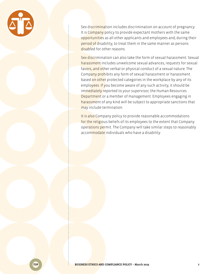

Sex discrimination includes discrimination on account of pregnancy. It is Company policy to provide expectant mothers with the same opportunities as all other applicants and employees and, during their period of disability, to treat them in the same manner as persons disabled for other reasons.

Sex discrimination can also take the form of sexual harassment. Sexual harassment includes unwelcome sexual advances, requests for sexual favors, and other verbal or physical conduct of a sexual nature. The Company prohibits any form of sexual harassment or harassment based on other protected categories in the workplace by any of its employees. If you become aware of any such activity, it should be immediately reported to your supervisor, the Human Resources Department or a member of management. Employees engaging in harassment of any kind will be subject to appropriate sanctions that may include termination.

It is also Company policy to provide reasonable accommodations for the religious beliefs of its employees to the extent that Company operations permit. The Company will take similar steps to reasonably accommodate individuals who have a disability.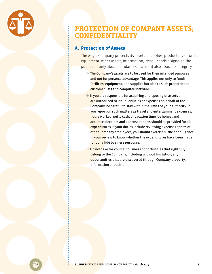<span id="page-9-0"></span>

### **PROTECTION OF COMPANY ASSETS; CONFIDENTIALITY**

#### **A. Protection of Assets**

The way a Company protects its assets – supplies, product inventories, equipment, other assets, information, ideas – sends a signal to the public not only about standards of care but also about its integrity.

- $\rightarrow$  The Company's assets are to be used for their intended purposes and not for personal advantage. This applies not only to funds, facilities, equipment, and supplies but also to such properties as customer lists and computer software.
- $\rightarrow$  If you are responsible for acquiring or disposing of assets or are authorized to incur liabilities or expenses on behalf of the Company, be careful to stay within the limits of your authority. If you report on such matters as travel and entertainment expenses, hours worked, petty cash, or vacation time, be honest and accurate. Receipts and expense reports should be provided for all expenditures. If your duties include reviewing expense reports of other Company employees, you should exercise sufficient diligence in your review to know whether the expenditures have been made for bona fide business purposes.
- $\rightarrow$  Do not take for yourself business opportunities that rightfully belong to the Company, including without limitation, any opportunities that are discovered through Company property, information or position.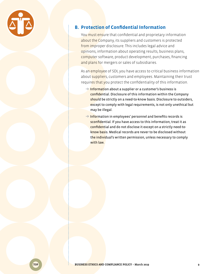<span id="page-10-0"></span>

#### **B. Protection of Confidential Information**

You **must ensure that confidential and proprietary information** about the Company, its suppliers and customers is protected from improper disclosure. This includes legal advice and opinions, information about operating results, business plans, computer software, product development, purchases, financing and plans for mergers or sales of subsidiaries.

As an employee of SDI, you have access to critical business information about suppliers, customers and employees. Maintaining their trust requires that you protect the confidentiality of this information.

- **→ Informati**on about a supplier or a customer's business is confidential. Disclosure of this information within the Company should be strictly on a need-to-know basis. Disclosure to outsiders, except to comply with legal requirements, is not only unethical but may be illegal.
- $\rightarrow$  Information in employees' personnel and benefits records is sconfidential. If you have access to this information, treat it as confidential and do not disclose it except on a strictly need-toknow basis. Medical records are never to be disclosed without the individual's written permission, unless necessary to comply with law.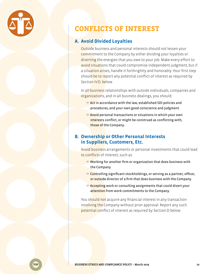<span id="page-11-0"></span>

### **CONFLICTS OF INTEREST**

#### **A. Avoid Divided Loyalties**

Outside business and personal interests should not lessen your commitment to the Company by either dividing your loyalties or diverting the energies that you owe to your job. Make every effort to avoid situations that could compromise independent judgment; but if a situation arises, handle it forthrightly and honorably. Your first step should be to report any potential conflict of interest as required by Section IV.D. below.

In all business relationships with outside individuals, companies and organizations, and in all business dealings, you should:

- $\rightarrow$  Act in accordance with the law, established SDI policies and procedures, and your own good conscience and judgment.
- $\rightarrow$  Avoid personal transactions or situations in which your own interests conflict, or might be construed as conflicting with, those of the Company.

#### **B. Ownership or Other Personal Interests in Suppliers, Customers, Etc.**

Avoid business arrangements or personal investments that could lead to conflicts of interest, such as:

- $\rightarrow$  Working for another firm or organization that does business with the Company.
- $\rightarrow$  Controlling significant stockholdings, or serving as a partner, officer, or outside director of a firm that does business with the Company.
- $\rightarrow$  Accepting work or consulting assignments that could divert your attention from work commitments to the Company.

You should not acquire any financial interest in any transaction involving the Company without prior approval. Report any such potential conflict of interest as required by Section D below.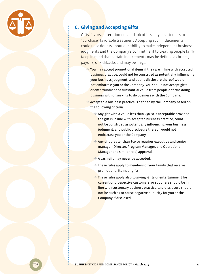<span id="page-12-0"></span>

#### **C. Giving and Accepting Gifts**

Gifts, favors, entertainment, and job offers may be attempts to "purchase" favorable treatment. Accepting such inducements could raise doubts about our ability to make independent business judgments and the Company's commitment to treating people fairly. Keep in mind that certain inducements may be defined as bribes, payoffs, or kickbacks and may be illegal.

- $\rightarrow$  You may accept promotional items if they are in line with accepted business practice, could not be construed as potentially influencing your business judgment, and public disclosure thereof would not embarrass you or the Company. You should not accept gifts or entertainment of substantial value from people or firms doing business with or seeking to do business with the Company.
- $\rightarrow$  Acceptable business practice is defined by the Company based on the following criteria:
	- **→** Any gift with a value less than \$50.00 is acceptable provided the gift is in line with accepted business practice, could not be construed as potentially influencing your business judgment, and public disclosure thereof would not embarrass you or the Company.
	- $\rightarrow$  Any gift greater than \$50.00 requires executive and senior manager (Director, Program Manager, and Operations Manager or a similar role) approval.
	- ➔ A cash gift may **never** be accepted.
	- $\rightarrow$  These rules apply to members of your family that receive promotional items or gifts.
	- $\rightarrow$  These rules apply also to giving. Gifts or entertainment for current or prospective customers, or suppliers should be in line with customary business practice, and disclosure should not be such as to cause negative publicity for you or the Company if disclosed.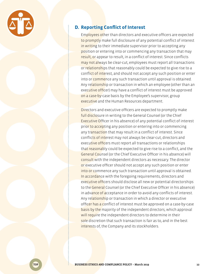<span id="page-13-0"></span>

#### **D. Reporting Conflict of Interest**

Employees other than directors and executive officers are expected to promptly make full disclosure of any potential conflict of interest in writing to their immediate supervisor prior to accepting any position or entering into or commencing any transaction that may result, or appear to result, in a conflict of interest. Since conflicts may not always be clear-cut, employees must report all transactions or relationships that reasonably could be expected to give rise to a conflict of interest, and should not accept any such position or enter into or commence any such transaction until approval is obtained. Any relationship or transaction in which an employee (other than an executive officer) may have a conflict of interest must be approved on a case-by-case basis by the Employee's supervisor, group executive and the Human Resources department.

Directors and executive officers are expected to promptly make full disclosure in writing to the General Counsel (or the Chief Executive Officer in his absence) of any potential conflict of interest prior to accepting any position or entering into or commencing any transaction that may result in a conflict of interest. Since conflicts of interest may not always be clear-cut, directors and executive officers must report all transactions or relationships that reasonably could be expected to give rise to a conflict, and the General Counsel (or the Chief Executive Officer in his absence) will consult with the independent directors as necessary. The director or executive officer should not accept any such position or enter into or commence any such transaction until approval is obtained. In accordance with the foregoing requirements, directors and executive officers should disclose all new or potential directorships to the General Counsel (or the Chief Executive Officer in his absence) in advance of acceptance in order to avoid any conflicts of interest. Any relationship or transaction in which a director or executive officer has a conflict of interest must be approved on a case-by-case basis by the majority of the independent directors, which approval will require the independent directors to determine in their sole discretion that such transaction is fair as to, and in the best interests of, the Company and its stockholders.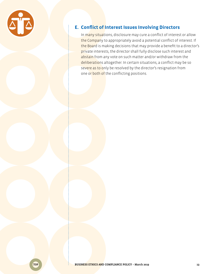<span id="page-14-0"></span>

#### **E. Conflict of Interest Issues Involving Directors**

In many situations, disclosure may cure a conflict of interest or allow the Company to appropriately avoid a potential conflict of interest. If the Board is making decisions that may provide a benefit to a director's private interests, the director shall fully disclose such interest and abstain from any vote on such matter and/or withdraw from the deliberations altogether. In certain situations, a conflict may be so severe as to only be resolved by the director's resignation from one or both of the conflicting positions.

TOP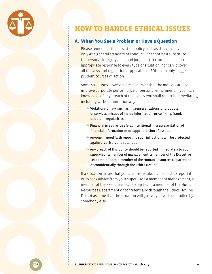<span id="page-15-0"></span>

### **HOW TO HANDLE ETHICAL ISSUES**

#### **A. When You See a Problem or Have a Question**

Please remember that a written policy such as this can serve only as a general standard of conduct. It cannot be a substitute for personal integrity and good judgment. It cannot spell out the appropriate response to every type of situation, nor can it cover all the laws and regulations applicable to SDI. It can only suggest prudent courses of action.

Some situations, however, are clear. Whether the motives are to improve corporate performance or personal enrichment, if you have knowledge of any breach of this Policy you shall report it immediately, including without limitation any:

- $\rightarrow$  Violations of law, such as misrepresentations of products or services, misuse of inside information, price fixing, fraud, or other irregularities.
- $\rightarrow$  Financial irregularities (e.g., intentional misrepresentation of financial information or misappropriation of assets.
- $\rightarrow$  Anyone in good faith reporting such infractions will be protected against reprisals and retaliation.
- $\rightarrow$  Any breach of this policy should be reported immediately to your supervisor, a member of management, a member of the Executive Leadership Team, a member of the Human Resources Department or confidentially through the Ethics Hotline.

If a situation arises that you are unsure about, it is best to report it or to seek advice from your supervisor, a member of management, a member of the Executive Leadership Team, a member of the Human Resources Department or confidentially through the Ethics Hotline. Do not assume that the situation will go away or will be handled by somebody else.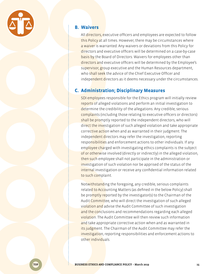<span id="page-16-0"></span>

#### **B. Waivers**

All directors, executive officers and employees are expected to follow this Policy at all times. However, there may be circumstances where a waiver is warranted. Any waivers or deviations from this Policy for directors and executive officers will be determined on a case-by-case basis by the Board of Directors. Waivers for employees other than directors and executive officers will be determined by the Employee's supervisor, group executive and the Human Resources department, who shall seek the advice of the Chief Executive Officer and independent directors as it deems necessary under the circumstances.

#### **C. Administration; Disciplinary Measures**

SDI employees responsible for the Ethics program will initially review reports of alleged violations and perform an initial investigation to determine the credibility of the allegations. Any credible, serious complaints (including those relating to executive officers or directors) shall be promptly reported to the independent directors, who will direct the investigation of such alleged violation and take appropriate corrective action when and as warranted in their judgment. The independent directors may refer the investigation, reporting responsibilities and enforcement actions to other individuals. If any employee charged with investigating ethics complaints is the subject of or otherwise involved (directly or indirectly) in the alleged violation, then such employee shall not participate in the administration or investigation of such violation nor be apprised of the status of the internal investigation or receive any confidential information related to such complaint.

Notwithstanding the foregoing, any credible, serious complaints related to Accounting Matters (as defined in the below Policy) shall be promptly reported by the investigator(s) to the Chairman of the Audit Committee, who will direct the investigation of such alleged violation and advise the Audit Committee of such investigation and the conclusions and recommendations regarding each alleged violation. The Audit Committee will then review such information and take appropriate corrective action when and as warranted in its judgment. The Chairman of the Audit Committee may refer the investigation, reporting responsibilities and enforcement actions to other individuals.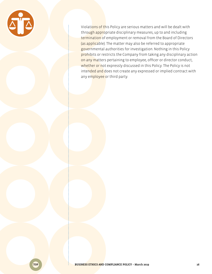

Violations of this Policy are serious matters and will be dealt with through appropriate disciplinary measures, up to and including termination of employment or removal from the Board of Directors (as applicable). The matter may also be referred to appropriate governmental authorities for investigation. Nothing in this Policy prohibits or restricts the Company from taking any disciplinary action on any matters pertaining to employee, officer or director conduct, whether or not expressly discussed in this Policy. The Policy is not intended and does not create any expressed or implied contract with any employee or third party.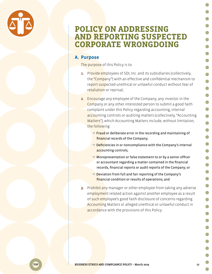

### <span id="page-18-0"></span>**POLICY ON ADDRESSING AND REPORTING SUSPECTED CORPORATE WRONGDOING**

### **A. Purpose**

The purpose of this Policy is to:

- **1.** Provide employees of SDI, Inc. and its subsidiaries (collectively, the "Company") with an effective and confidential mechanism to report suspected unethical or unlawful conduct without fear of retaliation or reprisal;
- **2.** Encourage any employee of the Company, any investor in the Company or any other interested person to submit a good faith complaint under this Policy regarding accounting, internal accounting controls or auditing matters (collectively, "Accounting Matters"), which Accounting Matters include, without limitation, the following:
	- $\rightarrow$  Fraud or deliberate error in the recording and maintaining of financial records of the Company;
	- $\rightarrow$  Deficiencies in or noncompliance with the Company's internal accounting controls;
	- $\rightarrow$  Misrepresentation or false statement to or by a senior officer or accountant regarding a matter contained in the financial records, financial reports or audit reports of the Company; or
	- $\rightarrow$  Deviation from full and fair reporting of the Company's financial condition or results of operations; and
- **3.** Prohibit any manager or other employee from taking any adverse employment related action against another employee as a result of such employee's good faith disclosure of concerns regarding Accounting Matters or alleged unethical or unlawful conduct in accordance with the provisions of this Policy.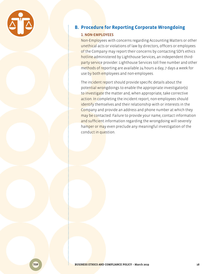<span id="page-19-0"></span>

### **B. Procedure for Reporting Corporate Wrongdoing**

#### 1. NON-EMPLOYEES

Non-Employees with concerns regarding Accounting Matters or other unethical acts or violations of law by directors, officers or employees of the Company may report their concerns by contacting SDI's ethics hotline administered by Lighthouse Services, an independent thirdparty service provider. Lighthouse Services toll free number and other methods of reporting are available 24 hours a day, 7 days a week for use by both employees and non-employees.

The incident report should provide specific details about the potential wrongdoings to enable the appropriate investigator(s) to investigate the matter and, when appropriate, take corrective action. In completing the incident report, non-employees should identify themselves and their relationship with or interests in the Company and provide an address and phone number at which they may be contacted. Failure to provide your name, contact information and sufficient information regarding the wrongdoing will severely hamper or may even preclude any meaningful investigation of the conduct in question.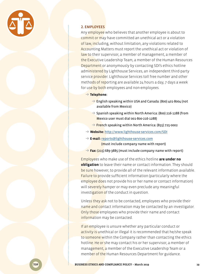

#### 2. EMPLOYEES

Any employee who believes that another employee is about to commit or may have committed an unethical act or a violation of law, including, without limitation, any violations related to Accounting Matters must report the unethical act or violation of law to their supervisor, a member of management, a member of the Executive Leadership Team, a member of the Human Resources Department or anonymously by contacting SDI's ethics hotline administered by Lighthouse Services, an independent third-party service provider. Lighthouse Services toll free number and other methods of reporting are available 24 hours a day, 7 days a week for use by both employees and non-employees.

➔ **Telephone:**

- $\rightarrow$  English speaking within USA and Canada: (800) 401-8004 (not available from Mexico)
- ➔ Spanish speaking within North America: (800) 216-1288 (from Mexico user must dial 001-800-216-1288)
- ➔ French speaking within North America: (855) 725-0002
- ➔ **Website:** <http://www.lighthouse-services.com/SDI>
- ➔ **E-mail:** [reports@lighthouse-services.com](mailto:reports%40lighthouse-services.com?subject=) (must include company name with report)
- ➔ **Fax:** (215) 689-3885 (must include company name with report)

Employees who make use of the ethics hotline **are under no obligation** to leave their name or contact information. They should be sure however, to provide all of the relevant information available. Failure to provide sufficient information (particularly where the employee does not provide his or her name or contact information) will severely hamper or may even preclude any meaningful investigation of the conduct in question.

Unless they ask not to be contacted, employees who provide their name and contact information may be contacted by an investigator. Only those employees who provide their name and contact information may be contacted.

If an employee is unsure whether any particular conduct or activity is unethical or illegal it is recommended that he/she speak to someone within the Company rather than contacting the ethics hotline. He or she may contact his or her supervisor, a member of management, a member of the Executive Leadership Team or a member of the Human Resources Department for guidance.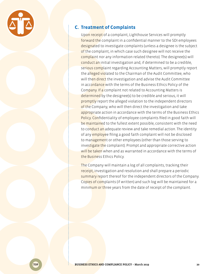<span id="page-21-0"></span>

#### **C. Treatment of Complaints**

Upon receipt of a complaint, Lighthouse Services will promptly forward the complaint in a confidential manner to the SDI employees designated to investigate complaints (unless a designee is the subject of the complaint, in which case such designee will not receive the complaint nor any information related thereto). The designee(s) will conduct an initial investigation and, if determined to be a credible, serious complaint regarding Accounting Matters, will promptly report the alleged violated to the Chairman of the Audit Committee, who will then direct the investigation and advise the Audit Committee in accordance with the terms of the Business Ethics Policy of the Company. If a complaint not related to Accounting Matters is determined by the designee(s) to be credible and serious, it will promptly report the alleged violation to the independent directors of the Company, who will then direct the investigation and take appropriate action in accordance with the terms of the Business Ethics Policy. Confidentiality of employee complaints filed in good faith will be maintained to the fullest extent possible, consistent with the need to conduct an adequate review and take remedial action. The identity of any **employe**e filing a good faith complaint will not be disclosed to management or other employees (other than those serving to investigate the complaint). Prompt and appropriate corrective action will be taken when and as warranted in accordance with the terms of the Business Ethics Policy.

The Company will maintain a log of all complaints, tracking their receipt, investigation and resolution and shall prepare a periodic summary report thereof for the independent directors of the Company. Copies of complaints (if written) and such log will be maintained for a minimum or three years from the date of receipt of the complaint.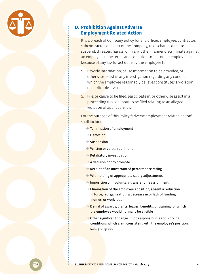<span id="page-22-0"></span>

#### **D. Prohibition Against Adverse Employment Related Action**

It is a breach of Company policy for any officer, employee, contractor, subcontractor, or agent of the Company, to discharge, demote, suspend, threaten, harass, or in any other manner discriminate against an employee in the terms and conditions of his or her employment because of any lawful act done by the employee to:

- **1.** Provide information, cause information to be provided, or otherwise assist in any investigation regarding any conduct which the employee reasonably believes constitutes a violation of applicable law; or
- **2.** File, or cause to be filed, participate in, or otherwise assist in a proceeding filed or about to be filed relating to an alleged violation of applicable law.

For the purpose of this Policy "adverse employment related action" shall include:

- $\rightarrow$  Termination of employment
- → Demotion
- ➔ Suspension
- **→ Written or verbal reprimand**
- **→ Retaliatory investigation**
- $\rightarrow$  A decision not to promote
- $\rightarrow$  Receipt of an unwarranted performance rating
- $\rightarrow$  Withholding of appropriate salary adjustments
- **→ Impositio**n of involuntary transfer or reassignment
- $\rightarrow$  Elimination of the employee's position, absent a reduction in force, reorganization, a decrease in or lack of funding, monies, or work load
- → Denial of awards, grants, leaves, benefits, or training for which the employee would normally be eligible
- $\rightarrow$  Other significant change in job responsibilities or working conditions which are inconsistent with the employee's position, salary or grade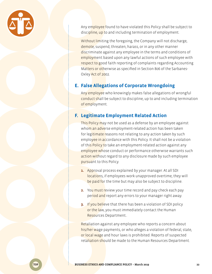<span id="page-23-0"></span>

Any employee found to have violated this Policy shall be subject to discipline, up to and including termination of employment.

Without limiting the foregoing, the Company will not discharge, demote, suspend, threaten, harass, or in any other manner discriminate against any employee in the terms and conditions of employment based upon any lawful actions of such employee with respect to good faith reporting of complaints regarding Accounting Matters or otherwise as specified in Section 806 of the Sarbanes-Oxley Act of 2002.

#### **E. False Allegations of Corporate Wrongdoing**

Any employee who knowingly makes false allegations of wrongful conduct shall be subject to discipline, up to and including termination of employment.

### **F. Legitimate Employment Related Action**

This Policy may not be used as a defense by an employee against whom an adverse employment-related action has been taken for legitimate reasons not relating to any action taken by such employee in accordance with this Policy. It shall not be a violation of thi<mark>s Policy t</mark>o take an employment-related action against any employee whose conduct or performance otherwise warrants such action without regard to any disclosure made by such employee pursuant to this Policy.

- **1.** Approval process explained by your manager. At all SDI locations, if employees work unapproved overtime, they will be paid for the time but may also be subject to discipline.
- **2.** You must review your time record and pay check each pay period and report any errors to your manager right away.
- **3.** If you believe that there has been a violation of SDI policy or the law, you must immediately contact the Human Resources Department..

Retaliation against any employee who reports a concern about his/her wage payments, or who alleges a violation of federal, state, or local wage and hour laws is prohibited. Reports of suspected retaliation should be made to the Human Resources Department.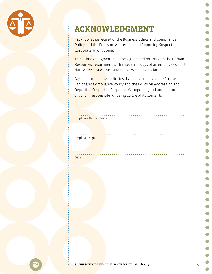<span id="page-24-0"></span>

## **ACKNOWLEDGMENT**

I acknowledge receipt of the Business Ethics and Compliance Policy and the Policy on Addressing and Reporting Suspected Corporate Wrongdoing.

This acknowledgment must be signed and returned to the Human Resources department within seven (7) days of an employee's start date or receipt of this Guidebook, whichever is later.

My signature below indicates that I have received the Business Ethics and Compliance Policy and the Policy on Addressing and Reporting Suspected Corporate Wrongdoing and understand that I am responsible for being aware of its contents.

#### Employee Name (please print)

Employee Signature

Date